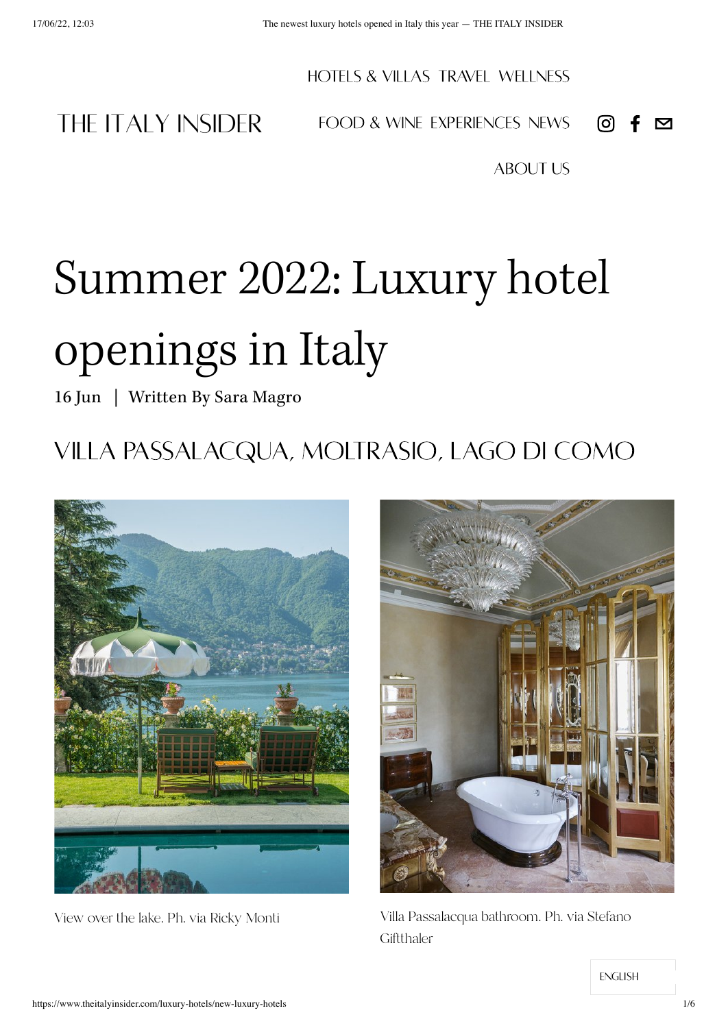HOTELS & VILLAS TRAVEL [WELLNESS](https://www.theitalyinsider.com/wellness-nature)

THE ITALY INSIDER

[FOOD & WINE](https://www.theitalyinsider.com/food-wine) [EXPERIENCES](https://www.theitalyinsider.com/authentic-experiences) [NEWS](https://www.theitalyinsider.com/news)

[ABOUT US](https://www.theitalyinsider.com/about)

# Summer 2022: Luxury hotel openings in Italy

16 Jun | Written By Sara [Magro](https://www.theitalyinsider.com/luxury-hotels?author=624581d09a8af8360c3db484)

## Villa Passalacqua, Moltrasio, Lago di como





View over the lake. Ph. via Ricky Monti Villa Passalacqua bathroom. Ph. via Stefano **Giftthaler**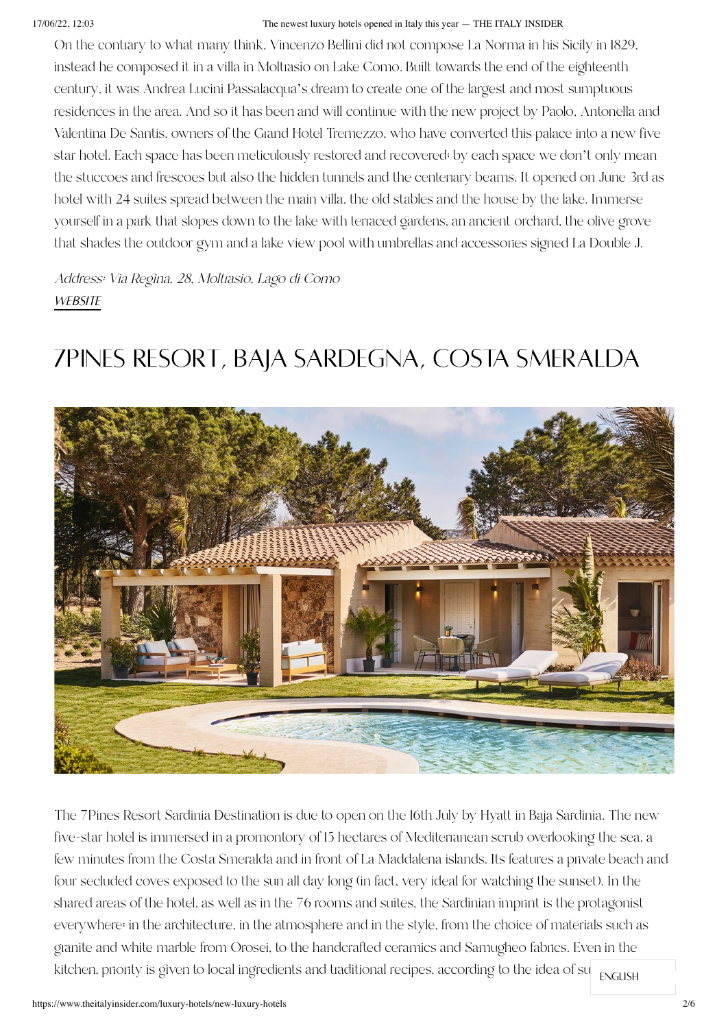#### 17/06/22, 12:03 The newest luxury hotels opened in Italy this year — THE ITALY INSIDER

On the contrary to what many think, Vincenzo Bellini did not compose La Norma in his Sicily in 1829, instead he composed it in a villa in Moltrasio on Lake Como. Built towards the end of the eighteenth century, it was Andrea Lucini Passalacqua's dream to create one of the largest and most sumptuous residences in the area. And so it has been and will continue with the new project by Paolo, Antonella and Valentina De Santis, owners of the Grand Hotel Tremezzo, who have converted this palace into a new five star hotel. Each space has been meticulously restored and recovered; by each space we don't only mean the stuccoes and frescoes but also the hidden tunnels and the centenary beams. It opened on June 3rd as hotel with 24 suites spread between the main villa, the old stables and the house by the lake. Immerse yourself in a park that slopes down to the lake with terraced gardens, an ancient orchard, the olive grove that shades the outdoor gym and a lake view pool with umbrellas and accessories signed La Double J.

Address: Via Regina, 28, Moltrasio, Lago di Como **WEBSITE** 

## 7Pines Resort, baja Sardegna, costa smeralda



The 7Pines Resort Sardinia Destination is due to open on the 16th July by Hyatt in Baja Sardinia. The new five-star hotel is immersed in a promontory of 15 hectares of Mediterranean scrub overlooking the sea, a few minutes from the Costa Smeralda and in front of La Maddalena islands. Its features a private beach and four secluded coves exposed to the sun all day long (in fact, very ideal for watching the sunset). In the shared areas of the hotel, as well as in the 76 rooms and suites, the Sardinian imprint is the protagonist everywhere: in the architecture, in the atmosphere and in the style, from the choice of materials such as granite and white marble from Orosei, to the handcrafted ceramics and Samugheo fabrics. Even in the kitchen, pnonty is given to local ingredients and traditional recipes, according to the idea of su $_{\rm ENGLISH}$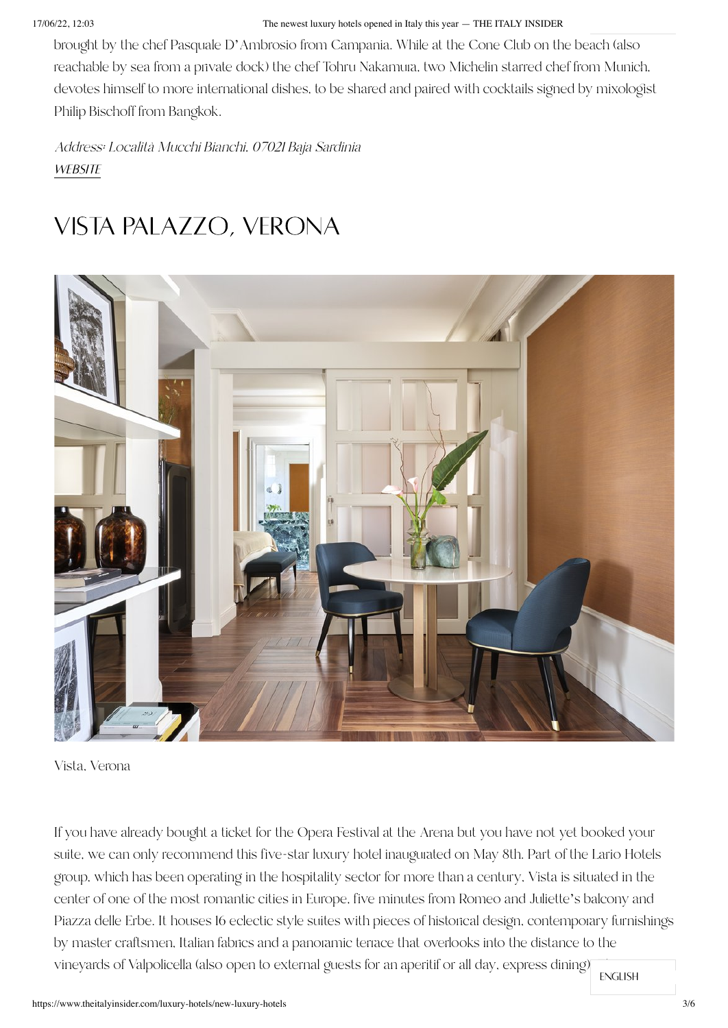#### 17/06/22, 12:03 The newest luxury hotels opened in Italy this year — THE ITALY INSIDER

brought by the chef Pasquale D'Ambrosio from Campania. While at the Cone Club on the beach (also reachable by sea from a private dock) the chef Tohru Nakamura, two Michelin starred chef from Munich, devotes himself to more international dishes, to be shared and paired with cocktails signed by mixologist Philip Bischoff from Bangkok.

Address: Località Mucchi Bianchi, 07021 Baja Sardinia **WEBSITE** 

#### Vista Palazzo, Verona



Vista, Verona

If you have already bought a ticket for the Opera Festival at the Arena but you have not yet booked your suite, we can only recommend this five-star luxury hotel inaugurated on May 8th. Part of the Lario Hotels group, which has been operating in the hospitality sector for more than a century, Vista is situated in the center of one of the most romantic cities in Europe, five minutes from Romeo and Juliette's balcony and Piazza delle Erbe. It houses 16 eclectic style suites with pieces of historical design, contemporary furnishings by master craftsmen, Italian fabrics and a panoramic terrace that overlooks into the distance to the vineyards of Valpolicella (also open to external guests for an aperitif or all day, express dining)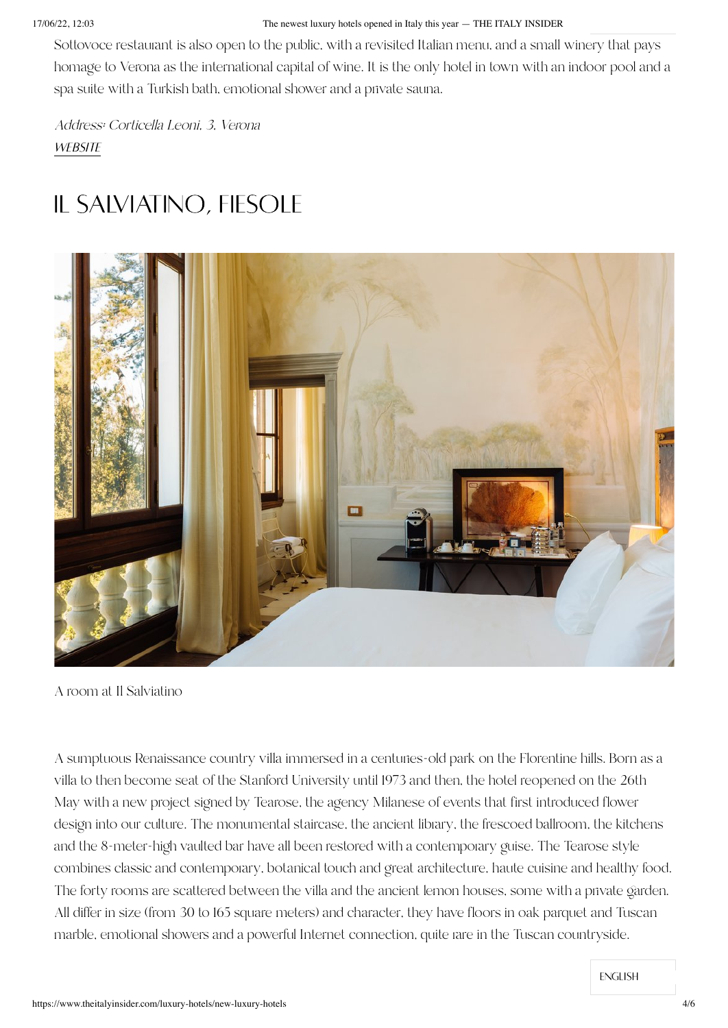#### 17/06/22, 12:03 The newest luxury hotels opened in Italy this year — THE ITALY INSIDER

Sottovoce restaurant is also open to the public, with a revisited Italian menu, and a small winery that pays homage to Verona as the international capital of wine. It is the only hotel in town with an indoor pool and a spa suite with a Turkish bath, emotional shower and a private sauna.

Address: Corticella Leoni, 3, Verona **WEBSITE** 

### Il Salviatino, Fiesole



A room at Il Salviatino

A sumptuous Renaissance country villa immersed in a centuries-old park on the Florentine hills. Born as a villa to then become seat of the Stanford University until 1973 and then, the hotel reopened on the 26th May with a new project signed by Tearose, the agency Milanese of events that first introduced flower design into our culture. The monumental staircase, the ancient library, the frescoed ballroom, the kitchens and the 8-meter-high vaulted bar have all been restored with a contemporary guise. The Tearose style combines classic and contemporary, botanical touch and great architecture, haute cuisine and healthy food. The forty rooms are scattered between the villa and the ancient lemon houses, some with a private garden. All differ in size (from 30 to 165 square meters) and character, they have floors in oak parquet and Tuscan marble, emotional showers and a powerful Internet connection, quite rare in the Tuscan countryside.